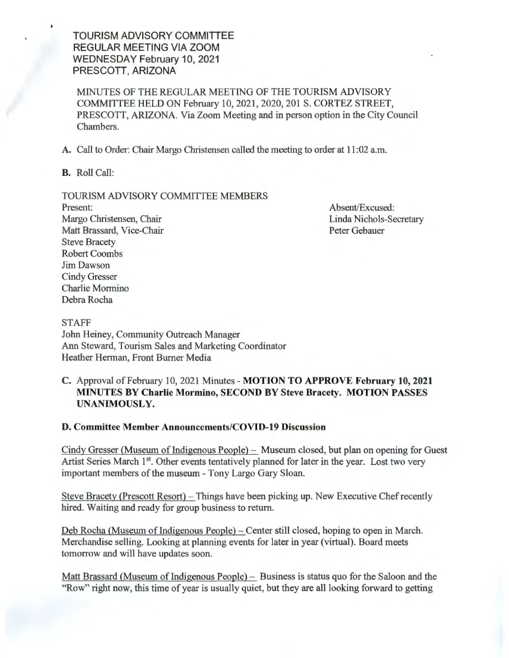TOURISM ADVISORY COMMITIEE REGULAR MEETING VIA ZOOM WEDNESDAY February 10, 2021 PRESCOTT, ARIZONA

MINUTES OF THE REGULAR MEETING OF THE TOURISM ADVISORY COMMITTEE HELD ON February 10, 2021 , 2020, 201 S. CORTEZ STREET, PRESCOTT, ARIZONA. Via Zoom Meeting and in person option in the City Council Chambers.

A. Call to Order: Chair Margo Christensen called the meeting to order at 11 :02 a.m.

B. Roll Call:

### TOURISM ADVISORY COMMITTEE MEMBERS

Present: Margo Christensen, Chair Matt Brassard, Vice-Chair Steve Bracety Robert Coombs Jim Dawson Cindy Gresser Charlie Mormino Debra Rocha

Absent/Excused: Linda Nichols-Secretary Peter Gebauer

STAFF John Heiney, Community Outreach Manager Ann Steward, Tourism Sales and Marketing Coordinator Heather Herman, Front Burner Media

# C. Approval of February 10, 2021 Minutes - MOTION TO APPROVE February 10, 2021 MINUTES BY Charlie Mormino, SECOND BY Steve Bracety. MOTION PASSES UNANIMOUSLY.

### D. Committee Member Announcements/COVID-19 Discussion

Cindy Gresser (Museum of Indigenous People) - Museum closed, but plan on opening for Guest Artist Series March 1<sup>st</sup>. Other events tentatively planned for later in the year. Lost two very important members of the museum - Tony Largo Gary Sloan.

Steve Bracety (Prescott Resort) – Things have been picking up. New Executive Chef recently hired. Waiting and ready for group business to return.

Deb Rocha (Museum of Indigenous People) – Center still closed, hoping to open in March. Merchandise selling. Looking at planning events for later in year (virtual). Board meets tomorrow and will have updates soon.

Matt Brassard (Museum of Indigenous People) - Business is status quo for the Saloon and the "Row" right now, this time of year is usually quiet, but they are all looking forward to getting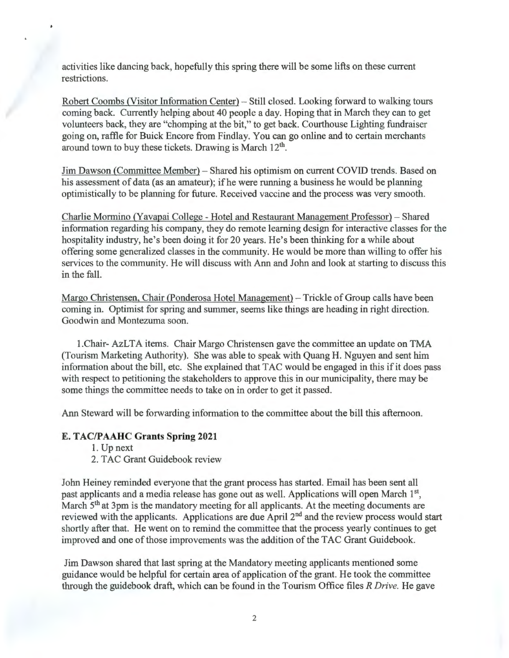activities like dancing back, hopefully this spring there will be some lifts on these current restrictions.

Robert Coombs (Visitor Information Center) - Still closed. Looking forward to walking tours coming back. Currently helping about 40 people a day. Hoping that in March they can to get volunteers back, they are "chomping at the bit," to get back. Courthouse Lighting fundraiser going on, raffle for Buick Encore from Findlay. You can go online and to certain merchants around town to buy these tickets. Drawing is March 12<sup>th</sup>.

Jim Dawson (Committee Member) - Shared his optimism on current COVID trends. Based on his assessment of data (as an amateur); if he were running a business he would be planning optimistically to be planning for future. Received vaccine and the process was very smooth.

Charlie Mormino (Yavapai College - Hotel and Restaurant Management Professor) - Shared information regarding his company, they do remote learning design for interactive classes for the hospitality industry, he's been doing it for 20 years. He's been thinking for a while about offering some generalized classes in the community. He would be more than willing to offer his services to the community. He will discuss with Ann and John and look at starting to discuss this in the fall.

Margo Christensen, Chair (Ponderosa Hotel Management) - Trickle of Group calls have been coming in. Optimist for spring and summer, seems like things are heading in right direction. Goodwin and Montezuma soon.

I.Chair- AzLTA items. Chair Margo Christensen gave the committee an update on TMA (Tourism Marketing Authority). She was able to speak with Quang H. Nguyen and sent him information about the bill, etc. She explained that TAC would be engaged in this if it does pass with respect to petitioning the stakeholders to approve this in our municipality, there may be some things the committee needs to take on in order to get it passed.

Ann Steward will be forwarding information to the committee about the bill this afternoon.

## **E. TAC/PAAHC Grants Spring 2021**

1. Up next

2. TAC Grant Guidebook review

John Heiney reminded everyone that the grant process has started. Email has been sent all past applicants and a media release has gone out as well. Applications will open March 1<sup>st</sup> March 5<sup>th</sup> at 3pm is the mandatory meeting for all applicants. At the meeting documents are reviewed with the applicants. Applications are due April 2nd and the review process would start shortly after that. He went on to remind the committee that the process yearly continues to get improved and one of those improvements was the addition of the TAC Grant Guidebook.

Jim Dawson shared that last spring at the Mandatory meeting applicants mentioned some guidance would be helpful for certain area of application of the grant. He took the committee through the guidebook draft, which can be found in the Tourism Office files *R Drive.* He gave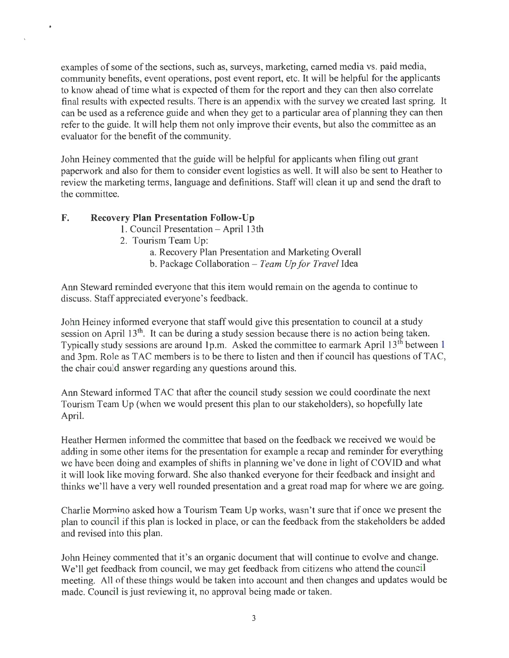examples of some of the sections, such as, surveys, marketing, earned media vs. paid media, community benefits, event operations, post event report, etc. It will be helpful for the applicants to know ahead of time what is expected of them for the report and they can then also correlate final results with expected results. There is an appendix with the survey we created last spring. It can be used as a reference guide and when they get to a particular area of planning they can then refer to the guide. It will help them not only improve their events, but also the committee as an evaluator for the benefit of the community.

John Heiney commented that the guide will be helpful for applicants when filing out grant paperwork and also for them to consider event logistics as well. It will also be sent to Heather to review the marketing terms, language and definitions. Staff will clean it up and send the draft to the committee.

# **F. Recovery Plan Presentation Follow-Up**

 $\bullet$ 

 $\mathbf{r}$ 

- 1. Council Presentation April 13th
- 2. Tourism Team Up:
	- a. Recovery Plan Presentation and Marketing Overall b. Package Collaboration - *Team Up for Travel* Idea

Ann Steward reminded everyone that this item would remain on the agenda to continue to discuss. Staff appreciated everyone's feedback.

John Heiney informed everyone that staff would give this presentation to council at a study session on April 13<sup>th</sup>. It can be during a study session because there is no action being taken. Typically study sessions are around 1p.m. Asked the committee to earmark April 13<sup>th</sup> between 1 and 3pm. Role as TAC members is to be there to listen and then if council has questions of TAC, the chair could answer regarding any questions around this.

Ann Steward informed TAC that after the council study session we could coordinate the next Tourism Team Up (when we would present this plan to our stakeholders), so hopefully late April.

Heather Hermen informed the committee that based on the feedback we received we would be adding in some other items for the presentation for example a recap and reminder for everything we have been doing and examples of shifts in planning we've done in light of COVID and what it will look like moving forward. She also thanked everyone for their feedback and insight and thinks we'll have a very well rounded presentation and a great road map for where we are going.

Charlie Mormino asked how a Tourism Team Up works, wasn't sure that if once we present the plan to council if this plan is locked in place, or can the feedback from the stakeholders be added and revised into this plan.

John Heiney commented that it's an organic document that will continue to evolve and change. We'll get feedback from council, we may get feedback from citizens who attend the council meeting. All of these things would be taken into account and then changes and updates would be made. Council is just reviewing it, no approval being made or taken.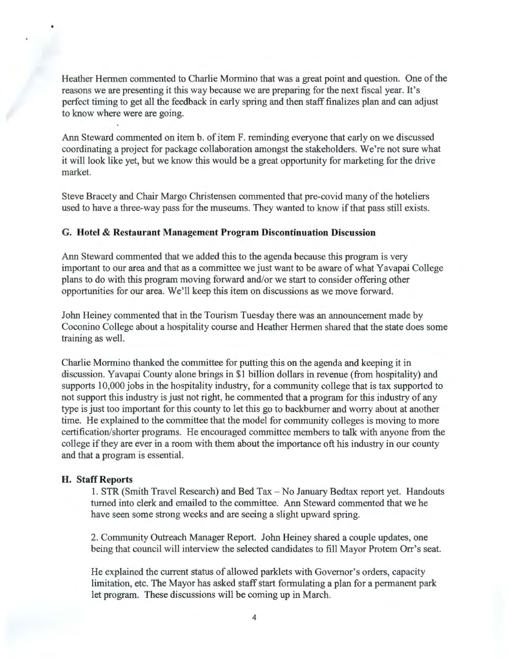Heather Hennen commented to Charlie Mormino that was a great point and question. One of the reasons we are presenting it this way because we are preparing for the next fiscal year. It's perfect timing to get all the feedback in early spring and then staff finalizes plan and can adjust to know where were are going.

Ann Steward commented on item b. of item F. reminding everyone that early on we discussed coordinating a project for package collaboration amongst the stakeholders. We're not sure what it will look like yet, but we know this would be a great opportunity for marketing for the drive market.

Steve Bracety and Chair Margo Christensen commented that pre-covid many of the hoteliers used to have a three-way pass for the museums. They wanted to know if that pass still exists.

### **G. Hotel & Restaurant Management Program Discontinuation Discussion**

Ann Steward commented that we added this to the agenda because this program is very important to our area and that as a committee we just want to be aware of what Yavapai College plans to do with this program moving forward and/or we start to consider offering other opportunities for our area. We'll keep this item on discussions as we move forward.

John Heiney commented that in the Tourism Tuesday there was an announcement made by Coconino College about a hospitality course and Heather Hennen shared that the state does some training as well.

Charlie Mormino thanked the committee for putting this on the agenda and keeping it in discussion. Yavapai County alone brings in \$1 billion dollars in revenue (from hospitality) and supports 10,000 jobs in the hospitality industry, for a community college that is tax supported to not support this industry is just not right, he commented that a program for this industry of any type is just too important for this county to let this go to backburner and worry about at another time. He explained to the committee that the model for community colleges is moving to more certification/shorter programs. He encouraged committee members to talk with anyone from the college if they are ever in a room with them about the importance oft his industry in our county and that a program is essential.

### **H. Staff Reports**

1. STR (Smith Travel Research) and Bed Tax - No January Bedtax report yet. Handouts turned into clerk and emailed to the committee. Ann Steward commented that we he have seen some strong weeks and are seeing a slight upward spring.

2. Community Outreach Manager Report. John Heiney shared a couple updates, one being that council will interview the selected candidates to fill Mayor Protem Orr's seat.

He explained the current status of allowed parklets with Governor's orders, capacity limitation, etc. The Mayor has asked staff start formulating a plan for a permanent park let program. These discussions will be coming up in March.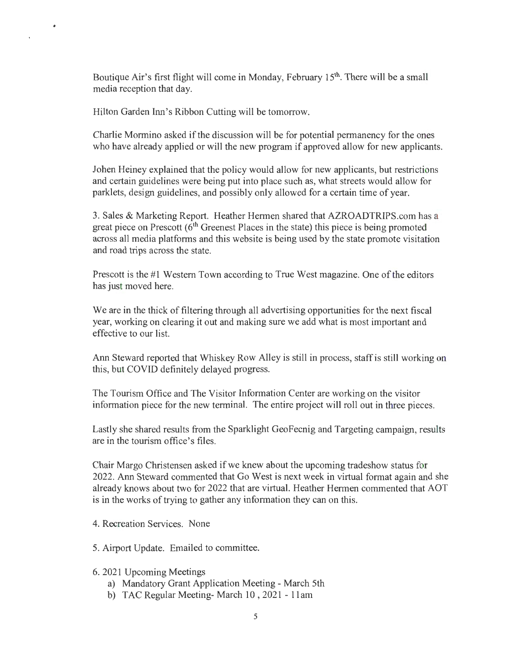Boutique Air's first flight will come in Monday, February 15<sup>th</sup>. There will be a small media reception that day.

Hilton Garden Inn's Ribbon Cutting will be tomorrow.

 $\bullet$ 

Charlie Mormino asked if the discussion will be for potential permanency for the ones who have already applied or will the new program if approved allow for new applicants.

Johen Heiney explained that the policy would allow for new applicants, but restrictions and certain guidelines were being put into place such as, what streets would allow for parklets, design guidelines, and possibly only allowed for a certain time of year.

3. Sales & Marketing Report. Heather Hermen shared that AZROADTRIPS.com has a great piece on Prescott  $(6<sup>th</sup>$  Greenest Places in the state) this piece is being promoted across all media platforms and this website is being used by the state promote visitation and road trips across the state.

Prescott is the #1 Western Town according to True West magazine. One of the editors has just moved here.

We are in the thick of filtering through all advertising opportunities for the next fiscal year, working on clearing it out and making sure we add what is most important and effective to our list.

Ann Steward reported that Whiskey Row Alley is still in process, staff is still working on this, but COVID definitely delayed progress.

The Tourism Office and The Visitor Information Center are working on the visitor information piece for the new terminal. The entire project will roll out in three pieces.

Lastly she shared results from the Sparklight GeoFecnig and Targeting campaign, results are in the tourism office's files.

Chair Margo Christensen asked if we knew about the upcoming tradeshow status for 2022. Ann Steward commented that Go West is next week in virtual format again and she already knows about two for 2022 that are virtual. Heather Hermen commented that AOT is in the works of trying to gather any information they can on this.

- 4. Recreation Services. None
- 5. Airport Update. Emailed to committee.
- 6. 2021 Upcoming Meetings
	- a) Mandatory Grant Application Meeting March 5th
	- b) TAC Regular Meeting- March 10 , 2021 11 am